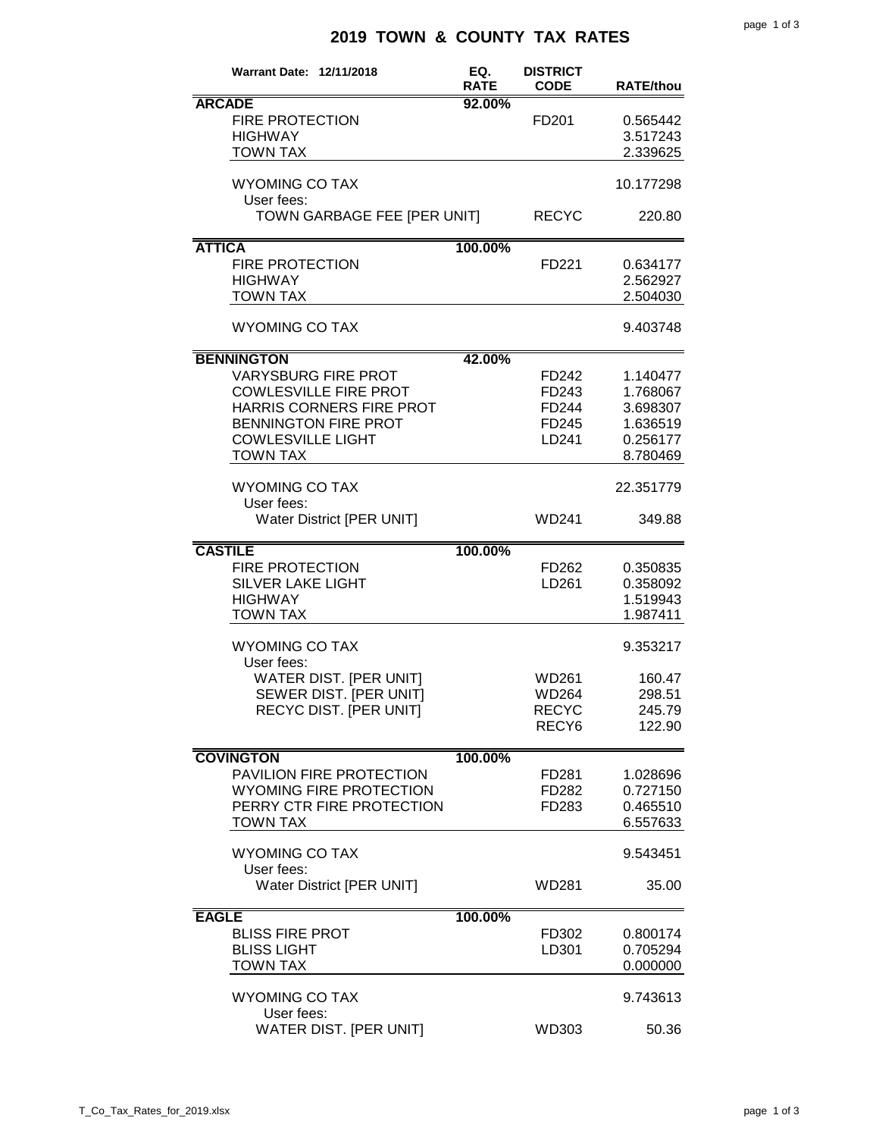## **2019 TOWN & COUNTY TAX RATES**

| Warrant Date: 12/11/2018                                                                                                                                                                  | EQ.<br><b>RATE</b> | <b>DISTRICT</b><br><b>CODE</b>                             | <b>RATE/thou</b>                                                     |
|-------------------------------------------------------------------------------------------------------------------------------------------------------------------------------------------|--------------------|------------------------------------------------------------|----------------------------------------------------------------------|
| <b>ARCADE</b><br><b>FIRE PROTECTION</b><br><b>HIGHWAY</b><br><b>TOWN TAX</b>                                                                                                              | 92.00%             | FD <sub>201</sub>                                          | 0.565442<br>3.517243<br>2.339625                                     |
| <b>WYOMING CO TAX</b><br>User fees:                                                                                                                                                       |                    |                                                            | 10.177298                                                            |
| TOWN GARBAGE FEE [PER UNIT]                                                                                                                                                               |                    | <b>RECYC</b>                                               | 220.80                                                               |
| <b>ATTICA</b><br><b>FIRE PROTECTION</b><br><b>HIGHWAY</b><br><b>TOWN TAX</b>                                                                                                              | 100.00%            | FD221                                                      | 0.634177<br>2.562927<br>2.504030                                     |
| <b>WYOMING CO TAX</b>                                                                                                                                                                     |                    |                                                            | 9.403748                                                             |
| <b>BENNINGTON</b><br><b>VARYSBURG FIRE PROT</b><br><b>COWLESVILLE FIRE PROT</b><br>HARRIS CORNERS FIRE PROT<br><b>BENNINGTON FIRE PROT</b><br><b>COWLESVILLE LIGHT</b><br><b>TOWN TAX</b> | 42.00%             | FD242<br>FD243<br>FD244<br>FD245<br>LD241                  | 1.140477<br>1.768067<br>3.698307<br>1.636519<br>0.256177<br>8.780469 |
| <b>WYOMING CO TAX</b><br>User fees:<br>Water District [PER UNIT]                                                                                                                          |                    | WD241                                                      | 22.351779<br>349.88                                                  |
| <b>CASTILE</b><br><b>FIRE PROTECTION</b><br><b>SILVER LAKE LIGHT</b><br><b>HIGHWAY</b><br><b>TOWN TAX</b>                                                                                 | 100.00%            | FD262<br>LD261                                             | 0.350835<br>0.358092<br>1.519943<br>1.987411                         |
| <b>WYOMING CO TAX</b><br>User fees:<br>WATER DIST. [PER UNIT]<br>SEWER DIST. [PER UNIT]<br>RECYC DIST. [PER UNIT]                                                                         |                    | WD261<br><b>WD264</b><br><b>RECYC</b><br>RECY <sub>6</sub> | 9.353217<br>160.47<br>298.51<br>245.79<br>122.90                     |
| <b>COVINGTON</b><br>PAVILION FIRE PROTECTION<br>WYOMING FIRE PROTECTION<br>PERRY CTR FIRE PROTECTION<br><b>TOWN TAX</b>                                                                   | 100.00%            | FD281<br>FD282<br>FD283                                    | 1.028696<br>0.727150<br>0.465510<br>6.557633                         |
| <b>WYOMING CO TAX</b><br>User fees:<br>Water District [PER UNIT]                                                                                                                          |                    | WD281                                                      | 9.543451<br>35.00                                                    |
| <b>EAGLE</b><br><b>BLISS FIRE PROT</b><br><b>BLISS LIGHT</b><br><b>TOWN TAX</b>                                                                                                           | 100.00%            | FD302<br>LD301                                             | 0.800174<br>0.705294<br>0.000000                                     |
| <b>WYOMING CO TAX</b><br>User fees:<br>WATER DIST. [PER UNIT]                                                                                                                             |                    | WD303                                                      | 9.743613<br>50.36                                                    |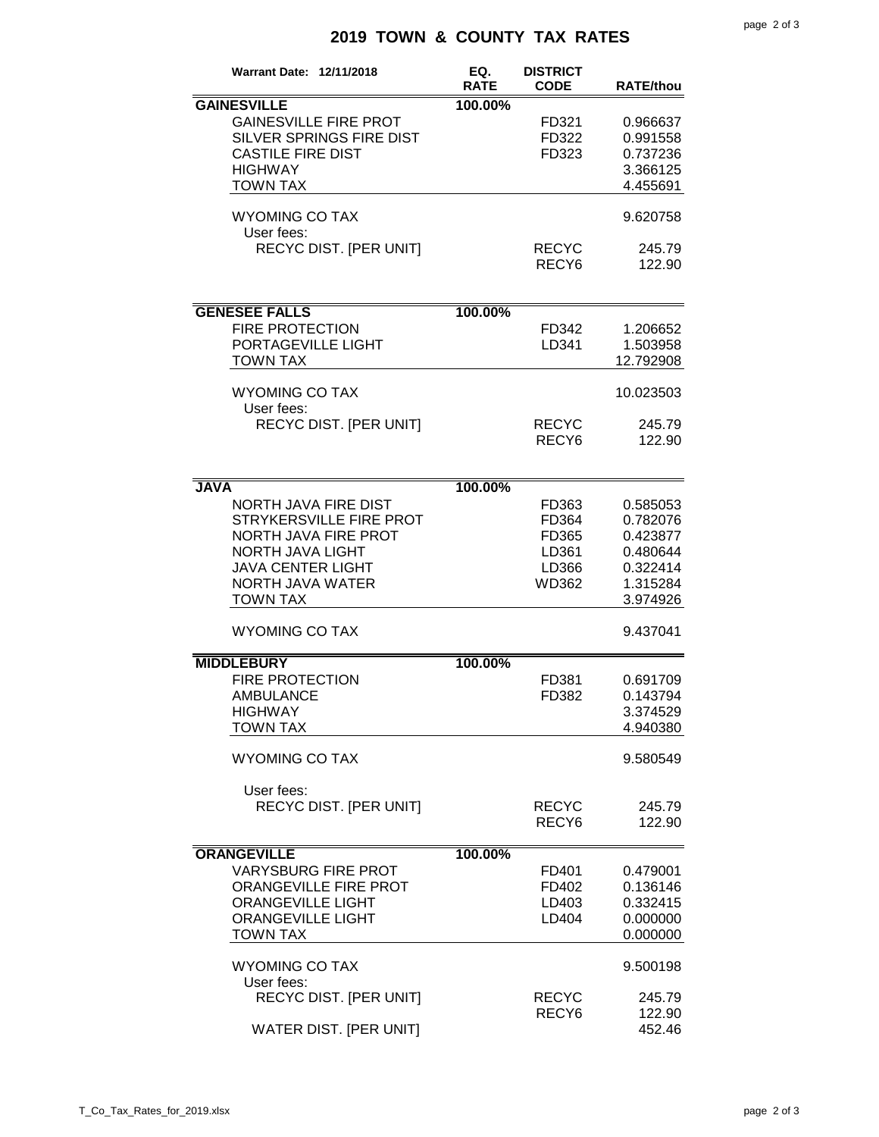## **2019 TOWN & COUNTY TAX RATES**

| <b>Warrant Date: 12/11/2018</b>                                                                                                                                              | EQ.<br><b>RATE</b> | <b>DISTRICT</b><br><b>CODE</b>                     | <b>RATE/thou</b>                                                                 |
|------------------------------------------------------------------------------------------------------------------------------------------------------------------------------|--------------------|----------------------------------------------------|----------------------------------------------------------------------------------|
| <b>GAINESVILLE</b><br><b>GAINESVILLE FIRE PROT</b><br>SILVER SPRINGS FIRE DIST<br><b>CASTILE FIRE DIST</b><br><b>HIGHWAY</b><br><b>TOWN TAX</b>                              | 100.00%            | FD321<br>FD322<br>FD323                            | 0.966637<br>0.991558<br>0.737236<br>3.366125<br>4.455691                         |
| <b>WYOMING CO TAX</b>                                                                                                                                                        |                    |                                                    | 9.620758                                                                         |
| User fees:<br>RECYC DIST. [PER UNIT]                                                                                                                                         |                    | <b>RECYC</b><br>RECY <sub>6</sub>                  | 245.79<br>122.90                                                                 |
| <b>GENESEE FALLS</b>                                                                                                                                                         | 100.00%            |                                                    |                                                                                  |
| <b>FIRE PROTECTION</b><br>PORTAGEVILLE LIGHT<br><b>TOWN TAX</b>                                                                                                              |                    | FD342<br>LD341                                     | 1.206652<br>1.503958<br>12.792908                                                |
| <b>WYOMING CO TAX</b><br>User fees:                                                                                                                                          |                    |                                                    | 10.023503                                                                        |
| <b>RECYC DIST. [PER UNIT]</b>                                                                                                                                                |                    | <b>RECYC</b><br>RECY <sub>6</sub>                  | 245.79<br>122.90                                                                 |
| <b>JAVA</b>                                                                                                                                                                  | 100.00%            |                                                    |                                                                                  |
| <b>NORTH JAVA FIRE DIST</b><br>STRYKERSVILLE FIRE PROT<br><b>NORTH JAVA FIRE PROT</b><br>NORTH JAVA LIGHT<br><b>JAVA CENTER LIGHT</b><br>NORTH JAVA WATER<br><b>TOWN TAX</b> |                    | FD363<br>FD364<br>FD365<br>LD361<br>LD366<br>WD362 | 0.585053<br>0.782076<br>0.423877<br>0.480644<br>0.322414<br>1.315284<br>3.974926 |
| <b>WYOMING CO TAX</b>                                                                                                                                                        |                    |                                                    | 9.437041                                                                         |
| <b>MIDDLEBURY</b><br><b>FIRE PROTECTION</b><br><b>AMBULANCE</b><br><b>HIGHWAY</b><br><b>TOWN TAX</b>                                                                         | 100.00%            | FD381<br>FD382                                     | 0.691709<br>0.143794<br>3.374529<br>4.940380                                     |
| <b>WYOMING CO TAX</b>                                                                                                                                                        |                    |                                                    | 9.580549                                                                         |
| User fees:<br><b>RECYC DIST. [PER UNIT]</b>                                                                                                                                  |                    | <b>RECYC</b><br>RECY <sub>6</sub>                  | 245.79<br>122.90                                                                 |
| <b>ORANGEVILLE</b>                                                                                                                                                           | 100.00%            |                                                    |                                                                                  |
| <b>VARYSBURG FIRE PROT</b><br>ORANGEVILLE FIRE PROT<br><b>ORANGEVILLE LIGHT</b><br><b>ORANGEVILLE LIGHT</b><br><b>TOWN TAX</b>                                               |                    | FD401<br>FD402<br>LD403<br>LD404                   | 0.479001<br>0.136146<br>0.332415<br>0.000000<br>0.000000                         |
| <b>WYOMING CO TAX</b><br>User fees:                                                                                                                                          |                    |                                                    | 9.500198                                                                         |
| <b>RECYC DIST. [PER UNIT]</b><br>WATER DIST. [PER UNIT]                                                                                                                      |                    | <b>RECYC</b><br>RECY <sub>6</sub>                  | 245.79<br>122.90<br>452.46                                                       |